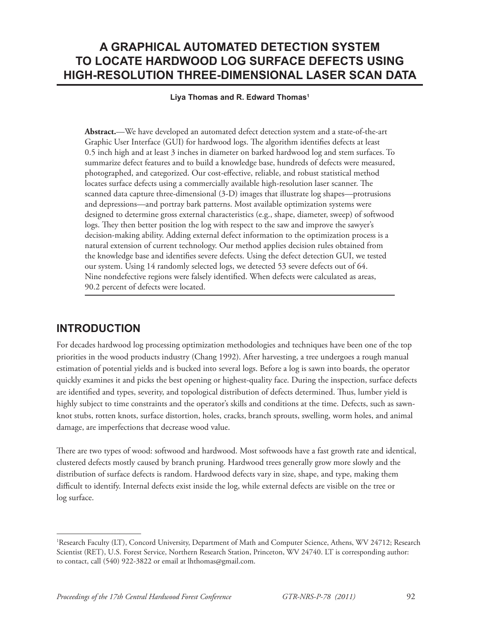# **A GRAPHICAL AUTOMATED DETECTION SYSTEM TO LOCATE HARDWOOD LOG SURFACE DEFECTS USING HIGH-RESOLUTION THREE-DIMENSIONAL LASER SCAN DATA**

#### **Liya Thomas and R. Edward Thomas1**

**Abstract.**—We have developed an automated defect detection system and a state-of-the-art Graphic User Interface (GUI) for hardwood logs. The algorithm identifies defects at least 0.5 inch high and at least 3 inches in diameter on barked hardwood log and stem surfaces. To summarize defect features and to build a knowledge base, hundreds of defects were measured, photographed, and categorized. Our cost-effective, reliable, and robust statistical method locates surface defects using a commercially available high-resolution laser scanner. The scanned data capture three-dimensional (3-D) images that illustrate log shapes—protrusions and depressions—and portray bark patterns. Most available optimization systems were designed to determine gross external characteristics (e.g., shape, diameter, sweep) of softwood logs. They then better position the log with respect to the saw and improve the sawyer's decision-making ability. Adding external defect information to the optimization process is a natural extension of current technology. Our method applies decision rules obtained from the knowledge base and identifies severe defects. Using the defect detection GUI, we tested our system. Using 14 randomly selected logs, we detected 53 severe defects out of 64. Nine nondefective regions were falsely identified. When defects were calculated as areas, 90.2 percent of defects were located.

### **INTRODUCTION**

For decades hardwood log processing optimization methodologies and techniques have been one of the top priorities in the wood products industry (Chang 1992). After harvesting, a tree undergoes a rough manual estimation of potential yields and is bucked into several logs. Before a log is sawn into boards, the operator quickly examines it and picks the best opening or highest-quality face. During the inspection, surface defects are identified and types, severity, and topological distribution of defects determined. Thus, lumber yield is highly subject to time constraints and the operator's skills and conditions at the time. Defects, such as sawnknot stubs, rotten knots, surface distortion, holes, cracks, branch sprouts, swelling, worm holes, and animal damage, are imperfections that decrease wood value.

There are two types of wood: softwood and hardwood. Most softwoods have a fast growth rate and identical, clustered defects mostly caused by branch pruning. Hardwood trees generally grow more slowly and the distribution of surface defects is random. Hardwood defects vary in size, shape, and type, making them difficult to identify. Internal defects exist inside the log, while external defects are visible on the tree or log surface.

<sup>1</sup> Research Faculty (LT), Concord University, Department of Math and Computer Science, Athens, WV 24712; Research Scientist (RET), U.S. Forest Service, Northern Research Station, Princeton, WV 24740. LT is corresponding author: to contact, call (540) 922-3822 or email at lhthomas@gmail.com.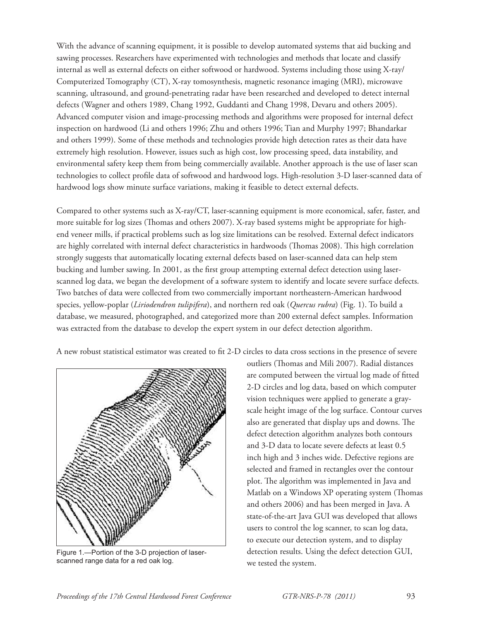With the advance of scanning equipment, it is possible to develop automated systems that aid bucking and sawing processes. Researchers have experimented with technologies and methods that locate and classify internal as well as external defects on either softwood or hardwood. Systems including those using X-ray/ Computerized Tomography (CT), X-ray tomosynthesis, magnetic resonance imaging (MRI), microwave scanning, ultrasound, and ground-penetrating radar have been researched and developed to detect internal defects (Wagner and others 1989, Chang 1992, Guddanti and Chang 1998, Devaru and others 2005). Advanced computer vision and image-processing methods and algorithms were proposed for internal defect inspection on hardwood (Li and others 1996; Zhu and others 1996; Tian and Murphy 1997; Bhandarkar and others 1999). Some of these methods and technologies provide high detection rates as their data have extremely high resolution. However, issues such as high cost, low processing speed, data instability, and environmental safety keep them from being commercially available. Another approach is the use of laser scan technologies to collect profile data of softwood and hardwood logs. High-resolution 3-D laser-scanned data of hardwood logs show minute surface variations, making it feasible to detect external defects.

Compared to other systems such as X-ray/CT, laser-scanning equipment is more economical, safer, faster, and more suitable for log sizes (Thomas and others 2007). X-ray based systems might be appropriate for highend veneer mills, if practical problems such as log size limitations can be resolved. External defect indicators are highly correlated with internal defect characteristics in hardwoods (Thomas 2008). This high correlation strongly suggests that automatically locating external defects based on laser-scanned data can help stem bucking and lumber sawing. In 2001, as the first group attempting external defect detection using laserscanned log data, we began the development of a software system to identify and locate severe surface defects. Two batches of data were collected from two commercially important northeastern-American hardwood species, yellow-poplar (*Liriodendron tulipifera*), and northern red oak (*Quercus rubra*) (Fig. 1). To build a database, we measured, photographed, and categorized more than 200 external defect samples. Information was extracted from the database to develop the expert system in our defect detection algorithm.

A new robust statistical estimator was created to fit 2-D circles to data cross sections in the presence of severe



Figure 1.—Portion of the 3-D projection of laserscanned range data for a red oak log.

outliers (Thomas and Mili 2007). Radial distances are computed between the virtual log made of fitted 2-D circles and log data, based on which computer vision techniques were applied to generate a grayscale height image of the log surface. Contour curves also are generated that display ups and downs. The defect detection algorithm analyzes both contours and 3-D data to locate severe defects at least 0.5 inch high and 3 inches wide. Defective regions are selected and framed in rectangles over the contour plot. The algorithm was implemented in Java and Matlab on a Windows XP operating system (Thomas and others 2006) and has been merged in Java. A state-of-the-art Java GUI was developed that allows users to control the log scanner, to scan log data, to execute our detection system, and to display detection results. Using the defect detection GUI, we tested the system.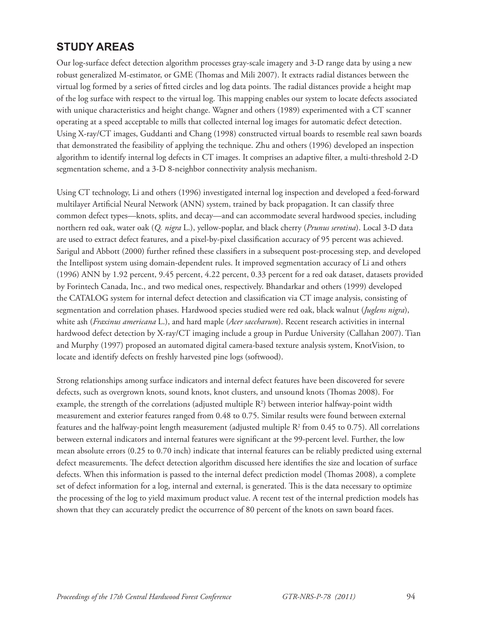## **STUDY AREAS**

Our log-surface defect detection algorithm processes gray-scale imagery and 3-D range data by using a new robust generalized M-estimator, or GME (Thomas and Mili 2007). It extracts radial distances between the virtual log formed by a series of fitted circles and log data points. The radial distances provide a height map of the log surface with respect to the virtual log. This mapping enables our system to locate defects associated with unique characteristics and height change. Wagner and others (1989) experimented with a CT scanner operating at a speed acceptable to mills that collected internal log images for automatic defect detection. Using X-ray/CT images, Guddanti and Chang (1998) constructed virtual boards to resemble real sawn boards that demonstrated the feasibility of applying the technique. Zhu and others (1996) developed an inspection algorithm to identify internal log defects in CT images. It comprises an adaptive filter, a multi-threshold 2-D segmentation scheme, and a 3-D 8-neighbor connectivity analysis mechanism.

Using CT technology, Li and others (1996) investigated internal log inspection and developed a feed-forward multilayer Artificial Neural Network (ANN) system, trained by back propagation. It can classify three common defect types—knots, splits, and decay—and can accommodate several hardwood species, including northern red oak, water oak (*Q. nigra* L.), yellow-poplar, and black cherry (*Prunus serotina*). Local 3-D data are used to extract defect features, and a pixel-by-pixel classification accuracy of 95 percent was achieved. Sarigul and Abbott (2000) further refined these classifiers in a subsequent post-processing step, and developed the Intellipost system using domain-dependent rules. It improved segmentation accuracy of Li and others (1996) ANN by 1.92 percent, 9.45 percent, 4.22 percent, 0.33 percent for a red oak dataset, datasets provided by Forintech Canada, Inc., and two medical ones, respectively. Bhandarkar and others (1999) developed the CATALOG system for internal defect detection and classification via CT image analysis, consisting of segmentation and correlation phases. Hardwood species studied were red oak, black walnut (*Juglens nigra*), white ash (*Fraxinus americana* L.), and hard maple (*Acer saccharum*). Recent research activities in internal hardwood defect detection by X-ray/CT imaging include a group in Purdue University (Callahan 2007). Tian and Murphy (1997) proposed an automated digital camera-based texture analysis system, KnotVision, to locate and identify defects on freshly harvested pine logs (softwood).

Strong relationships among surface indicators and internal defect features have been discovered for severe defects, such as overgrown knots, sound knots, knot clusters, and unsound knots (Thomas 2008). For example, the strength of the correlations (adjusted multiple  $R^2$ ) between interior halfway-point width measurement and exterior features ranged from 0.48 to 0.75. Similar results were found between external features and the halfway-point length measurement (adjusted multiple  $R^2$  from 0.45 to 0.75). All correlations between external indicators and internal features were significant at the 99-percent level. Further, the low mean absolute errors (0.25 to 0.70 inch) indicate that internal features can be reliably predicted using external defect measurements. The defect detection algorithm discussed here identifies the size and location of surface defects. When this information is passed to the internal defect prediction model (Thomas 2008), a complete set of defect information for a log, internal and external, is generated. This is the data necessary to optimize the processing of the log to yield maximum product value. A recent test of the internal prediction models has shown that they can accurately predict the occurrence of 80 percent of the knots on sawn board faces.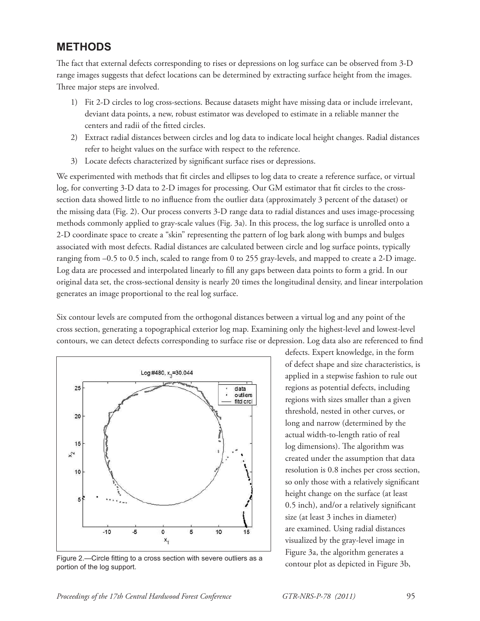#### **METHODS**

The fact that external defects corresponding to rises or depressions on log surface can be observed from 3-D range images suggests that defect locations can be determined by extracting surface height from the images. Three major steps are involved.

- 1) Fit 2-D circles to log cross-sections. Because datasets might have missing data or include irrelevant, deviant data points, a new, robust estimator was developed to estimate in a reliable manner the centers and radii of the fitted circles.
- 2) Extract radial distances between circles and log data to indicate local height changes. Radial distances refer to height values on the surface with respect to the reference.
- 3) Locate defects characterized by significant surface rises or depressions.

We experimented with methods that fit circles and ellipses to log data to create a reference surface, or virtual log, for converting 3-D data to 2-D images for processing. Our GM estimator that fit circles to the crosssection data showed little to no influence from the outlier data (approximately 3 percent of the dataset) or the missing data (Fig. 2). Our process converts 3-D range data to radial distances and uses image-processing methods commonly applied to gray-scale values (Fig. 3a). In this process, the log surface is unrolled onto a 2-D coordinate space to create a "skin" representing the pattern of log bark along with bumps and bulges associated with most defects. Radial distances are calculated between circle and log surface points, typically ranging from –0.5 to 0.5 inch, scaled to range from 0 to 255 gray-levels, and mapped to create a 2-D image. Log data are processed and interpolated linearly to fill any gaps between data points to form a grid. In our original data set, the cross-sectional density is nearly 20 times the longitudinal density, and linear interpolation generates an image proportional to the real log surface.

Six contour levels are computed from the orthogonal distances between a virtual log and any point of the cross section, generating a topographical exterior log map. Examining only the highest-level and lowest-level contours, we can detect defects corresponding to surface rise or depression. Log data also are referenced to find



Figure 2.—Circle fitting to a cross section with severe outliers as a contour plot as depicted in Figure 3b, nortion of the log support. portion of the log support.

defects. Expert knowledge, in the form of defect shape and size characteristics, is applied in a stepwise fashion to rule out regions as potential defects, including regions with sizes smaller than a given threshold, nested in other curves, or long and narrow (determined by the actual width-to-length ratio of real log dimensions). The algorithm was created under the assumption that data resolution is 0.8 inches per cross section, so only those with a relatively significant height change on the surface (at least 0.5 inch), and/or a relatively significant size (at least 3 inches in diameter) are examined. Using radial distances visualized by the gray-level image in Figure 3a, the algorithm generates a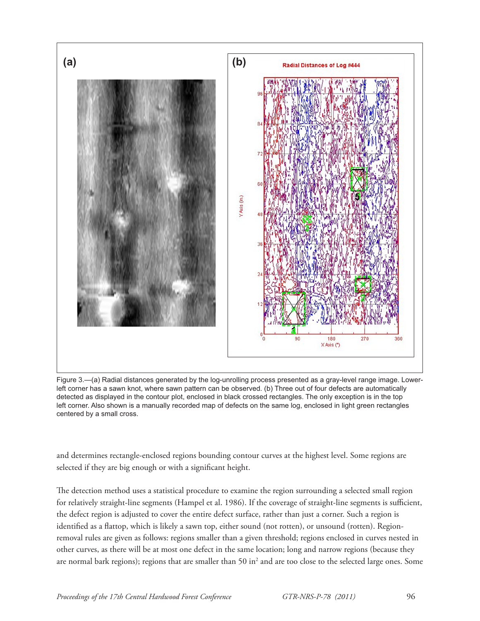

Figure 3.—(a) Radial distances generated by the log-unrolling process presented as a gray-level range image. Lowerleft corner has a sawn knot, where sawn pattern can be observed. (b) Three out of four defects are automatically detected as displayed in the contour plot, enclosed in black crossed rectangles. The only exception is in the top left corner. Also shown is a manually recorded map of defects on the same log, enclosed in light green rectangles centered by a small cross.

and determines rectangle-enclosed regions bounding contour curves at the highest level. Some regions are selected if they are big enough or with a significant height.

The detection method uses a statistical procedure to examine the region surrounding a selected small region for relatively straight-line segments (Hampel et al. 1986). If the coverage of straight-line segments is sufficient, the defect region is adjusted to cover the entire defect surface, rather than just a corner. Such a region is identified as a flattop, which is likely a sawn top, either sound (not rotten), or unsound (rotten). Regionremoval rules are given as follows: regions smaller than a given threshold; regions enclosed in curves nested in other curves, as there will be at most one defect in the same location; long and narrow regions (because they are normal bark regions); regions that are smaller than 50 in<sup>2</sup> and are too close to the selected large ones. Some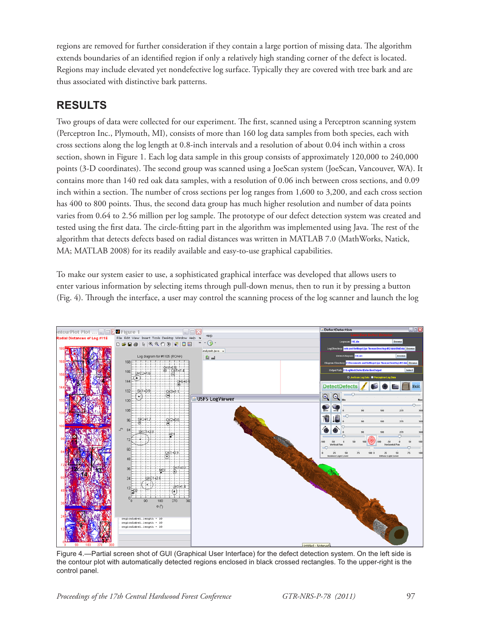regions are removed for further consideration if they contain a large portion of missing data. The algorithm extends boundaries of an identified region if only a relatively high standing corner of the defect is located. Regions may include elevated yet nondefective log surface. Typically they are covered with tree bark and are thus associated with distinctive bark patterns.

## **RESULTS**

Two groups of data were collected for our experiment. The first, scanned using a Perceptron scanning system (Perceptron Inc., Plymouth, MI), consists of more than 160 log data samples from both species, each with cross sections along the log length at 0.8-inch intervals and a resolution of about 0.04 inch within a cross section, shown in Figure 1. Each log data sample in this group consists of approximately 120,000 to 240,000 points (3-D coordinates). The second group was scanned using a JoeScan system (JoeScan, Vancouver, WA). It contains more than 140 red oak data samples, with a resolution of 0.06 inch between cross sections, and 0.09 inch within a section. The number of cross sections per  $log$  ranges from  $1,600$  to  $3,200$ , and each cross section has 400 to 800 points. Thus, the second data group has much higher resolution and number of data points varies from 0.64 to 2.56 million per log sample. The prototype of our defect detection system was created and tested using the first data. The circle-fitting part in the algorithm was implemented using Java. The rest of the algorithm that detects defects based on radial distances was written in MATLAB 7.0 (MathWorks, Natick, MA; MATLAB 2008) for its readily available and easy-to-use graphical capabilities.

To make our system easier to use, a sophisticated graphical interface was developed that allows users to enter various information by selecting items through pull-down menus, then to run it by pressing a button (Fig. 4). Th rough the interface, a user may control the scanning process of the log scanner and launch the log



Figure 4.—Partial screen shot of GUI (Graphical User Interface) for the defect detection system. On the left side is the contour plot with automatically detected regions enclosed in black crossed rectangles. To the upper-right is the control panel.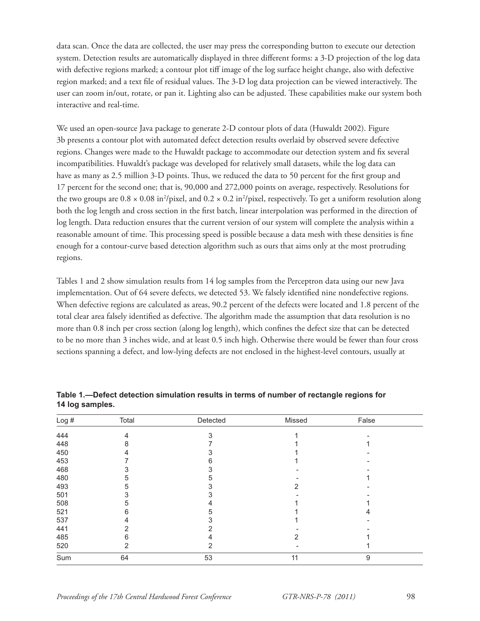data scan. Once the data are collected, the user may press the corresponding button to execute our detection system. Detection results are automatically displayed in three different forms: a 3-D projection of the log data with defective regions marked; a contour plot tiff image of the log surface height change, also with defective region marked; and a text file of residual values. The 3-D log data projection can be viewed interactively. The user can zoom in/out, rotate, or pan it. Lighting also can be adjusted. These capabilities make our system both interactive and real-time.

We used an open-source Java package to generate 2-D contour plots of data (Huwaldt 2002). Figure 3b presents a contour plot with automated defect detection results overlaid by observed severe defective regions. Changes were made to the Huwaldt package to accommodate our detection system and fix several incompatibilities. Huwaldt's package was developed for relatively small datasets, while the log data can have as many as 2.5 million 3-D points. Thus, we reduced the data to 50 percent for the first group and 17 percent for the second one; that is, 90,000 and 272,000 points on average, respectively. Resolutions for the two groups are  $0.8 \times 0.08$  in<sup>2</sup>/pixel, and  $0.2 \times 0.2$  in<sup>2</sup>/pixel, respectively. To get a uniform resolution along both the log length and cross section in the first batch, linear interpolation was performed in the direction of log length. Data reduction ensures that the current version of our system will complete the analysis within a reasonable amount of time. This processing speed is possible because a data mesh with these densities is fine enough for a contour-curve based detection algorithm such as ours that aims only at the most protruding regions.

Tables 1 and 2 show simulation results from 14 log samples from the Perceptron data using our new Java implementation. Out of 64 severe defects, we detected 53. We falsely identified nine nondefective regions. When defective regions are calculated as areas, 90.2 percent of the defects were located and 1.8 percent of the total clear area falsely identified as defective. The algorithm made the assumption that data resolution is no more than 0.8 inch per cross section (along log length), which confines the defect size that can be detected to be no more than 3 inches wide, and at least 0.5 inch high. Otherwise there would be fewer than four cross sections spanning a defect, and low-lying defects are not enclosed in the highest-level contours, usually at

| Log# | Total | Detected | Missed | False |  |
|------|-------|----------|--------|-------|--|
| 444  | 4     | 3        |        |       |  |
| 448  | 8     |          |        |       |  |
| 450  | 4     |          |        |       |  |
| 453  |       | 6        |        |       |  |
| 468  |       |          |        |       |  |
| 480  | 5     | 5        |        |       |  |
| 493  | 5     |          | 2      |       |  |
| 501  | 3     |          |        |       |  |
| 508  | 5     | 4        |        |       |  |
| 521  | 6     | 5        |        |       |  |
| 537  | 4     |          |        |       |  |
| 441  | 2     |          |        |       |  |
| 485  | 6     |          |        |       |  |
| 520  | 2     | 2        |        |       |  |
| Sum  | 64    | 53       | 11     | 9     |  |

**Table 1.—Defect detection simulation results in terms of number of rectangle regions for 14 log samples.**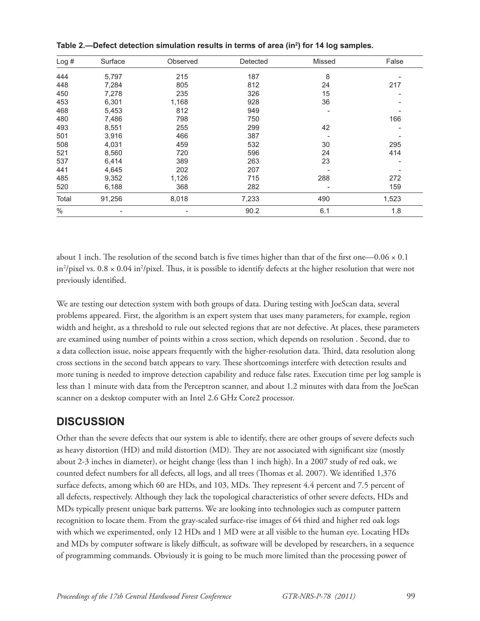| Log#  | Surface                  | Observed | Detected | Missed         | False |
|-------|--------------------------|----------|----------|----------------|-------|
| 444   | 5,797                    | 215      | 187      | 8              |       |
| 448   | 7,284                    | 805      | 812      | 24             | 217   |
| 450   | 7,278                    | 235      | 326      | 15             |       |
| 453   | 6,301                    | 1,168    | 928      | 36             |       |
| 468   | 5,453                    | 812      | 949      | $\overline{a}$ |       |
| 480   | 7,486                    | 798      | 750      |                | 166   |
| 493   | 8,551                    | 255      | 299      | 42             |       |
| 501   | 3,916                    | 466      | 387      |                |       |
| 508   | 4,031                    | 459      | 532      | 30             | 295   |
| 521   | 8,560                    | 720      | 596      | 24             | 414   |
| 537   | 6,414                    | 389      | 263      | 23             |       |
| 441   | 4,645                    | 202      | 207      |                |       |
| 485   | 9,352                    | 1,126    | 715      | 288            | 272   |
| 520   | 6,188                    | 368      | 282      |                | 159   |
| Total | 91,256                   | 8,018    | 7,233    | 490            | 1,523 |
| $\%$  | $\overline{\phantom{0}}$ |          | 90.2     | 6.1            | 1.8   |

**Table 2.—Defect detection simulation results in terms of area (in2 ) for 14 log samples.**

about 1 inch. The resolution of the second batch is five times higher than that of the first one—0.06  $\times$  0.1 in<sup>2</sup>/pixel vs.  $0.8 \times 0.04$  in<sup>2</sup>/pixel. Thus, it is possible to identify defects at the higher resolution that were not previously identified.

We are testing our detection system with both groups of data. During testing with JoeScan data, several problems appeared. First, the algorithm is an expert system that uses many parameters, for example, region width and height, as a threshold to rule out selected regions that are not defective. At places, these parameters are examined using number of points within a cross section, which depends on resolution . Second, due to a data collection issue, noise appears frequently with the higher-resolution data. Third, data resolution along cross sections in the second batch appears to vary. These shortcomings interfere with detection results and more tuning is needed to improve detection capability and reduce false rates. Execution time per log sample is less than 1 minute with data from the Perceptron scanner, and about 1.2 minutes with data from the JoeScan scanner on a desktop computer with an Intel 2.6 GHz Core2 processor.

#### **DISCUSSION**

Other than the severe defects that our system is able to identify, there are other groups of severe defects such as heavy distortion (HD) and mild distortion (MD). They are not associated with significant size (mostly about 2-3 inches in diameter), or height change (less than 1 inch high). In a 2007 study of red oak, we counted defect numbers for all defects, all logs, and all trees (Thomas et al. 2007). We identified 1,376 surface defects, among which 60 are HDs, and 103, MDs. They represent 4.4 percent and 7.5 percent of all defects, respectively. Although they lack the topological characteristics of other severe defects, HDs and MDs typically present unique bark patterns. We are looking into technologies such as computer pattern recognition to locate them. From the gray-scaled surface-rise images of 64 third and higher red oak logs with which we experimented, only 12 HDs and 1 MD were at all visible to the human eye. Locating HDs and MDs by computer software is likely difficult, as software will be developed by researchers, in a sequence of programming commands. Obviously it is going to be much more limited than the processing power of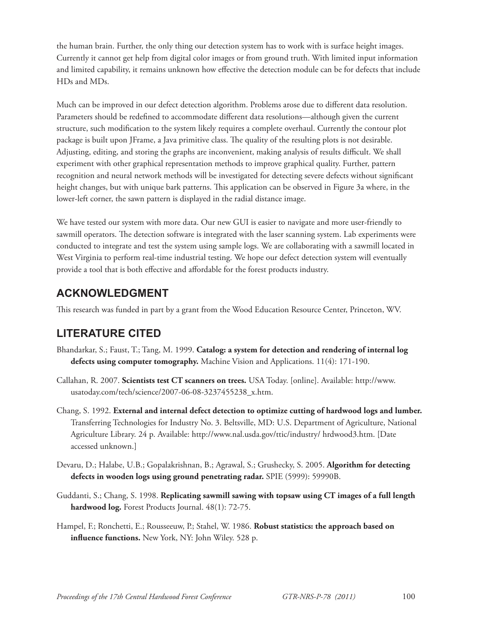the human brain. Further, the only thing our detection system has to work with is surface height images. Currently it cannot get help from digital color images or from ground truth. With limited input information and limited capability, it remains unknown how effective the detection module can be for defects that include HDs and MDs.

Much can be improved in our defect detection algorithm. Problems arose due to different data resolution. Parameters should be redefined to accommodate different data resolutions—although given the current structure, such modification to the system likely requires a complete overhaul. Currently the contour plot package is built upon JFrame, a Java primitive class. The quality of the resulting plots is not desirable. Adjusting, editing, and storing the graphs are inconvenient, making analysis of results difficult. We shall experiment with other graphical representation methods to improve graphical quality. Further, pattern recognition and neural network methods will be investigated for detecting severe defects without significant height changes, but with unique bark patterns. This application can be observed in Figure 3a where, in the lower-left corner, the sawn pattern is displayed in the radial distance image.

We have tested our system with more data. Our new GUI is easier to navigate and more user-friendly to sawmill operators. The detection software is integrated with the laser scanning system. Lab experiments were conducted to integrate and test the system using sample logs. We are collaborating with a sawmill located in West Virginia to perform real-time industrial testing. We hope our defect detection system will eventually provide a tool that is both effective and affordable for the forest products industry.

### **ACKNOWLEDGMENT**

This research was funded in part by a grant from the Wood Education Resource Center, Princeton, WV.

# **LITERATURE CITED**

- Bhandarkar, S.; Faust, T.; Tang, M. 1999. **Catalog: a system for detection and rendering of internal log defects using computer tomography.** Machine Vision and Applications. 11(4): 171-190.
- Callahan, R. 2007. **Scientists test CT scanners on trees.** USA Today. [online]. Available: http://www. usatoday.com/tech/science/2007-06-08-3237455238\_x.htm.
- Chang, S. 1992. **External and internal defect detection to optimize cutting of hardwood logs and lumber.** Transferring Technologies for Industry No. 3. Beltsville, MD: U.S. Department of Agriculture, National Agriculture Library. 24 p. Available: http://www.nal.usda.gov/ttic/industry/ hrdwood3.htm. [Date accessed unknown.]
- Devaru, D.; Halabe, U.B.; Gopalakrishnan, B.; Agrawal, S.; Grushecky, S. 2005. **Algorithm for detecting defects in wooden logs using ground penetrating radar.** SPIE (5999): 59990B.
- Guddanti, S.; Chang, S. 1998. **Replicating sawmill sawing with topsaw using CT images of a full length hardwood log.** Forest Products Journal. 48(1): 72-75.
- Hampel, F.; Ronchetti, E.; Rousseeuw, P.; Stahel, W. 1986. **Robust statistics: the approach based on influence functions.** New York, NY: John Wiley. 528 p.